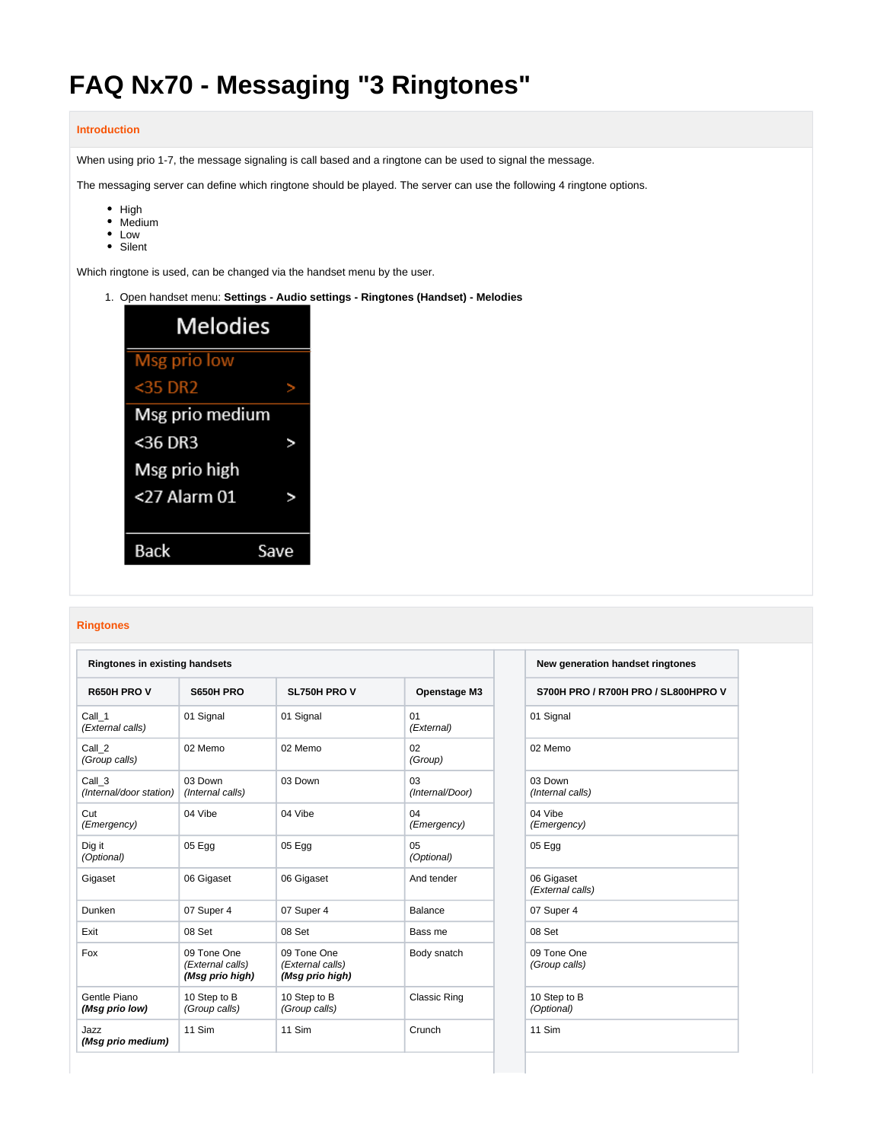# **FAQ Nx70 - Messaging "3 Ringtones"**

## **Introduction**

When using prio 1-7, the message signaling is call based and a ringtone can be used to signal the message.

The messaging server can define which ringtone should be played. The server can use the following 4 ringtone options.

- $\bullet$  High
- Medium
- Low
- Silent

Which ringtone is used, can be changed via the handset menu by the user.

1. Open handset menu: **Settings - Audio settings - Ringtones (Handset) - Melodies**



## **Ringtones**

| <b>Ringtones in existing handsets</b> |                                                    |                                                    | New generation handset ringtones |                                |
|---------------------------------------|----------------------------------------------------|----------------------------------------------------|----------------------------------|--------------------------------|
| R650H PRO V                           | S650H PRO                                          | <b>SL750H PRO V</b>                                | <b>Openstage M3</b>              | S700H PRO / R700H PRO / SL800H |
| Call 1<br>(External calls)            | 01 Signal                                          | 01 Signal                                          | 01<br>(External)                 | 01 Signal                      |
| Call 2<br>(Group calls)               | 02 Memo                                            | 02 Memo                                            | 02<br>(Group)                    | 02 Memo                        |
| Call 3<br>(Internal/door station)     | 03 Down<br>(Internal calls)                        | 03 Down                                            | 03<br>(Internal/Door)            | 03 Down<br>(Internal calls)    |
| Cut<br>(Emergency)                    | 04 Vibe                                            | 04 Vibe                                            | 04<br>(Emergency)                | 04 Vibe<br>(Emergency)         |
| Dig it<br>(Optional)                  | 05 Egg                                             | 05 Egg                                             | 05<br>(Optional)                 | 05 Egg                         |
| Gigaset                               | 06 Gigaset                                         | 06 Gigaset                                         | And tender                       | 06 Gigaset<br>(External calls) |
| Dunken                                | 07 Super 4                                         | 07 Super 4                                         | Balance                          | 07 Super 4                     |
| Exit                                  | 08 Set                                             | 08 Set                                             | Bass me                          | 08 Set                         |
| Fox                                   | 09 Tone One<br>(External calls)<br>(Msg prio high) | 09 Tone One<br>(External calls)<br>(Msg prio high) | Body snatch                      | 09 Tone One<br>(Group calls)   |
| Gentle Piano<br>(Msg prio low)        | 10 Step to B<br>(Group calls)                      | 10 Step to B<br>(Group calls)                      | <b>Classic Ring</b>              | 10 Step to B<br>(Optional)     |
| Jazz<br>(Msg prio medium)             | 11 Sim                                             | 11 Sim                                             | Crunch                           | 11 Sim                         |

| New generation handset ringtones |  |
|----------------------------------|--|
|----------------------------------|--|

**R650H PRO V S650H PRO SL750H PRO V Openstage M3 S700H PRO / R700H PRO / SL800HPRO V**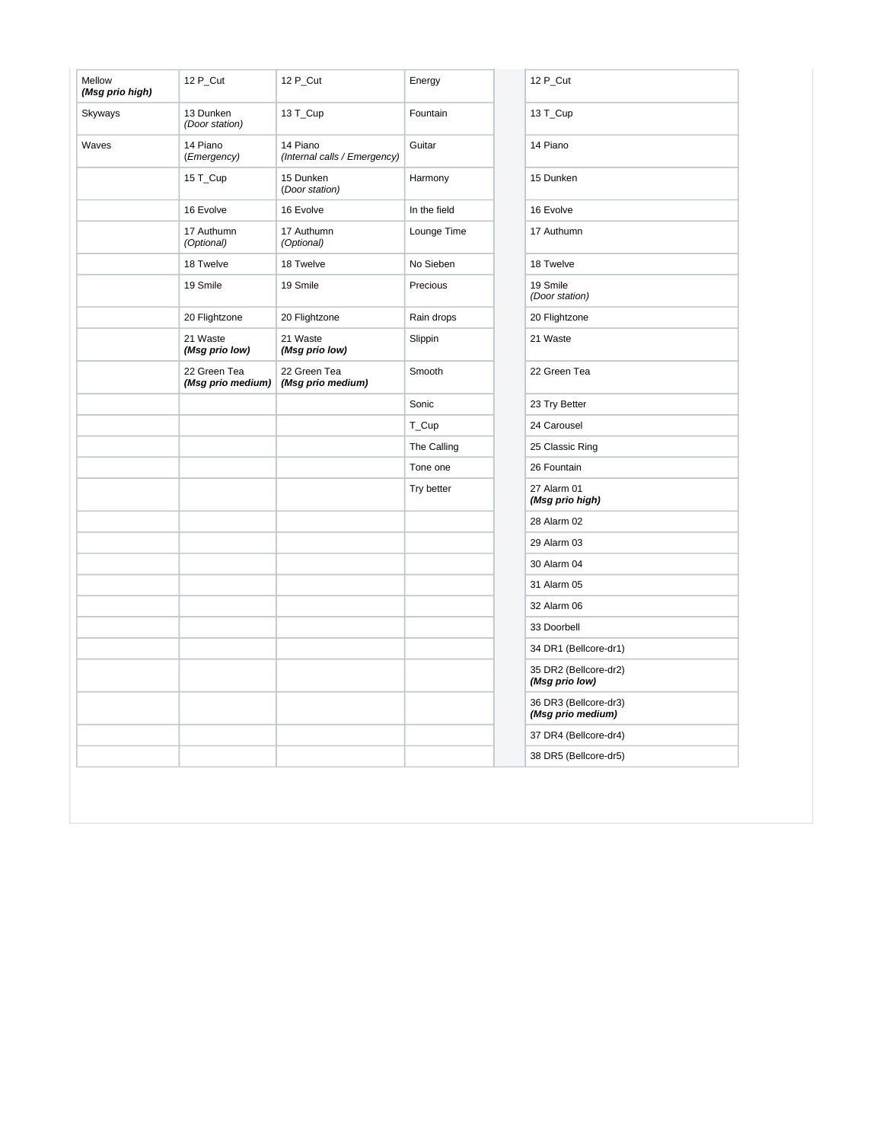| Mellow<br>(Msg prio high) | 12 P_Cut                          | 12 P_Cut                                 | Energy       | 12 P_Cut                          |
|---------------------------|-----------------------------------|------------------------------------------|--------------|-----------------------------------|
| Skyways                   | 13 Dunken<br>(Door station)       | 13 T_Cup                                 | Fountain     | 13 T_Cup                          |
| Waves                     | 14 Piano<br>(Emergency)           | 14 Piano<br>(Internal calls / Emergency) | Guitar       | 14 Piano                          |
|                           | 15 T_Cup                          | 15 Dunken<br>(Door station)              | Harmony      | 15 Dunken                         |
|                           | 16 Evolve                         | 16 Evolve                                | In the field | 16 Evolve                         |
|                           | 17 Authumn<br>(Optional)          | 17 Authumn<br>(Optional)                 | Lounge Time  | 17 Authumn                        |
|                           | 18 Twelve                         | 18 Twelve                                | No Sieben    | 18 Twelve                         |
|                           | 19 Smile                          | 19 Smile                                 | Precious     | 19 Smile<br>(Door station)        |
|                           | 20 Flightzone                     | 20 Flightzone                            | Rain drops   | 20 Flightzone                     |
|                           | 21 Waste<br>(Msg prio low)        | 21 Waste<br>(Msg prio low)               | Slippin      | 21 Waste                          |
|                           | 22 Green Tea<br>(Msg prio medium) | 22 Green Tea<br>(Msg prio medium)        | Smooth       | 22 Green Tea                      |
|                           |                                   |                                          | Sonic        | 23 Try Better                     |
|                           |                                   |                                          | T_Cup        | 24 Carousel                       |
|                           |                                   |                                          | The Calling  | 25 Classic Ring                   |
|                           |                                   |                                          | Tone one     | 26 Fountain                       |
|                           |                                   |                                          | Try better   | 27 Alarm 01<br>(Msg prio high     |
|                           |                                   |                                          |              | 28 Alarm 02                       |
|                           |                                   |                                          |              | 29 Alarm 03                       |
|                           |                                   |                                          |              | 30 Alarm 04                       |
|                           |                                   |                                          |              | 31 Alarm 05                       |
|                           |                                   |                                          |              | 32 Alarm 06                       |
|                           |                                   |                                          |              | 33 Doorbell                       |
|                           |                                   |                                          |              | 34 DR1 (Bellcor                   |
|                           |                                   |                                          |              | 35 DR2 (Bellcor<br>(Msg prio low) |
|                           |                                   |                                          |              | 36 DR3 (Bellcor<br>(Msg prio med  |
|                           |                                   |                                          |              | 37 DR4 (Bellcor                   |
|                           |                                   |                                          |              |                                   |

| 12 P Cut                                   |
|--------------------------------------------|
| 13 T_Cup                                   |
| 14 Piano                                   |
| 15 Dunken                                  |
| 16 Evolve                                  |
| 17 Authumn                                 |
| 18 Twelve                                  |
| 19 Smile<br>(Door station)                 |
| 20 Flightzone                              |
| 21 Waste                                   |
| 22 Green Tea                               |
| 23 Try Better                              |
| 24 Carousel                                |
| 25 Classic Ring                            |
| 26 Fountain                                |
| 27 Alarm 01<br>(Msg prio high)             |
| 28 Alarm 02                                |
| 29 Alarm 03                                |
| 30 Alarm 04                                |
| 31 Alarm 05                                |
| 32 Alarm 06                                |
| 33 Doorbell                                |
| 34 DR1 (Bellcore-dr1)                      |
| 35 DR2 (Bellcore-dr2)<br>(Msg prio low)    |
| 36 DR3 (Bellcore-dr3)<br>(Msg prio medium) |
| 37 DR4 (Bellcore-dr4)                      |
| 38 DR5 (Bellcore-dr5)                      |